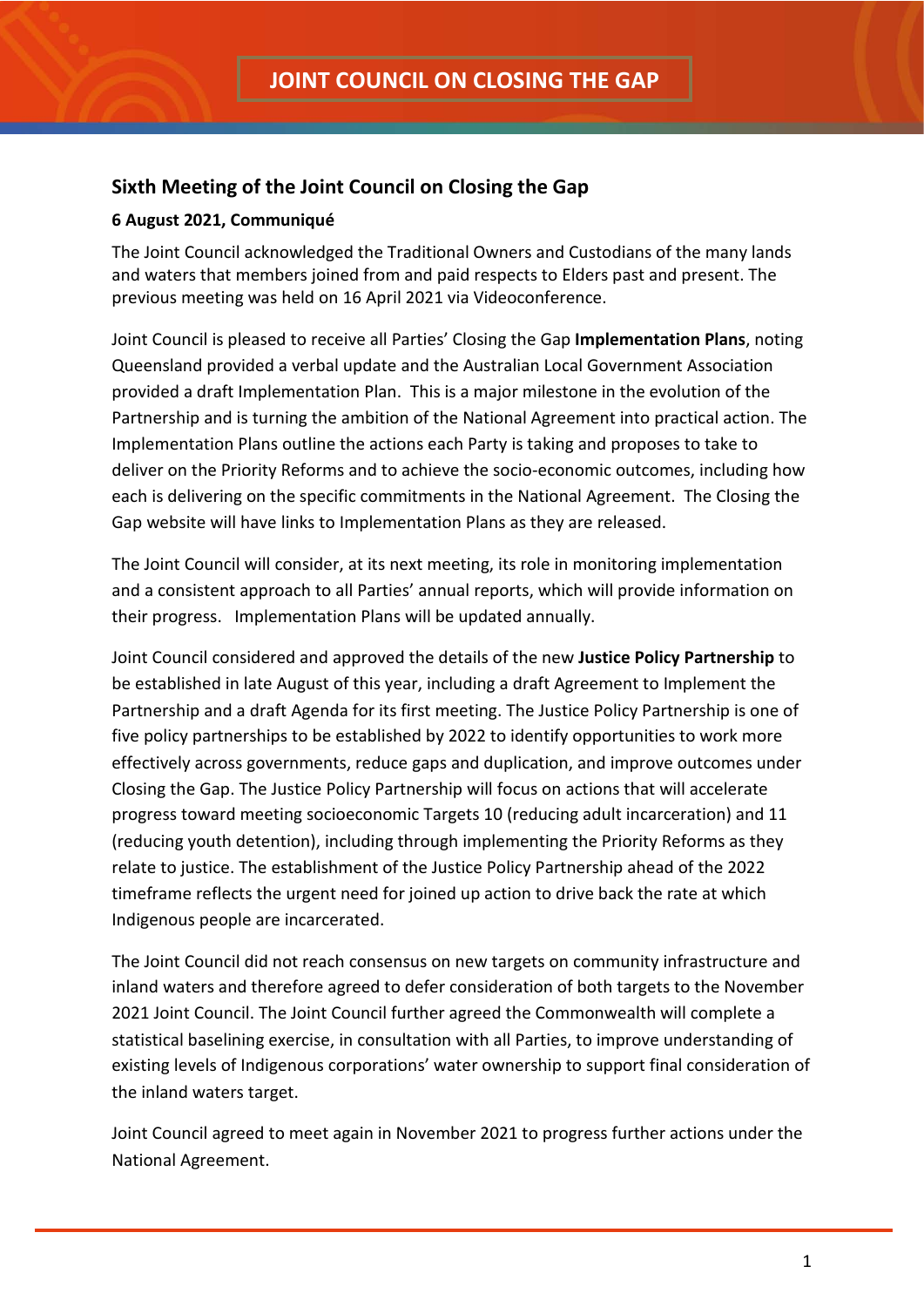## **Sixth Meeting of the Joint Council on Closing the Gap**

## **6 August 2021, Communiqué**

The Joint Council acknowledged the Traditional Owners and Custodians of the many lands and waters that members joined from and paid respects to Elders past and present. The previous meeting was held on 16 April 2021 via Videoconference.

Joint Council is pleased to receive all Parties' Closing the Gap **Implementation Plans**, noting Queensland provided a verbal update and the Australian Local Government Association provided a draft Implementation Plan. This is a major milestone in the evolution of the Partnership and is turning the ambition of the National Agreement into practical action. The Implementation Plans outline the actions each Party is taking and proposes to take to deliver on the Priority Reforms and to achieve the socio-economic outcomes, including how each is delivering on the specific commitments in the National Agreement. The Closing the Gap website will have links to Implementation Plans as they are released.

The Joint Council will consider, at its next meeting, its role in monitoring implementation and a consistent approach to all Parties' annual reports, which will provide information on their progress. Implementation Plans will be updated annually.

Joint Council considered and approved the details of the new **Justice Policy Partnership** to be established in late August of this year, including a draft Agreement to Implement the Partnership and a draft Agenda for its first meeting. The Justice Policy Partnership is one of five policy partnerships to be established by 2022 to identify opportunities to work more effectively across governments, reduce gaps and duplication, and improve outcomes under Closing the Gap. The Justice Policy Partnership will focus on actions that will accelerate progress toward meeting socioeconomic Targets 10 (reducing adult incarceration) and 11 (reducing youth detention), including through implementing the Priority Reforms as they relate to justice. The establishment of the Justice Policy Partnership ahead of the 2022 timeframe reflects the urgent need for joined up action to drive back the rate at which Indigenous people are incarcerated.

The Joint Council did not reach consensus on new targets on community infrastructure and inland waters and therefore agreed to defer consideration of both targets to the November 2021 Joint Council. The Joint Council further agreed the Commonwealth will complete a statistical baselining exercise, in consultation with all Parties, to improve understanding of existing levels of Indigenous corporations' water ownership to support final consideration of the inland waters target.

Joint Council agreed to meet again in November 2021 to progress further actions under the National Agreement.